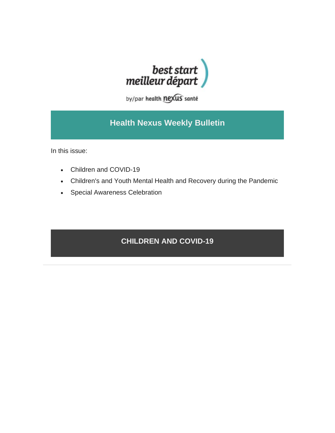

by/par health nexus santé

## **Health Nexus Weekly Bulletin**

In this issue:

- Children and COVID-19
- Children's and Youth Mental Health and Recovery during the Pandemic
- Special Awareness Celebration

## **CHILDREN AND COVID-19**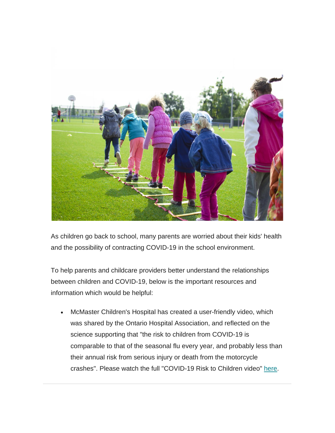

As children go back to school, many parents are worried about their kids' health and the possibility of contracting COVID-19 in the school environment.

To help parents and childcare providers better understand the relationships between children and COVID-19, below is the important resources and information which would be helpful:

• McMaster Children's Hospital has created a user-friendly video, which was shared by the Ontario Hospital Association, and reflected on the science supporting that "the risk to children from COVID-19 is comparable to that of the seasonal flu every year, and probably less than their annual risk from serious injury or death from the motorcycle crashes". Please watch the full "COVID-19 Risk to Children video" [here.](https://www.youtube.com/watch?v=Z8snNUwGBwk&feature=share&fbclid=IwAR3C7c8-Rc6GRaOKEPrEhd4wKemwQAr0setRzy-lu2xA62FFq3odf8dCvCE)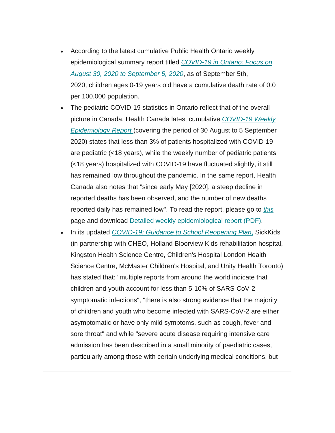- According to the latest cumulative Public Health Ontario weekly epidemiological summary report titled *[COVID-19 in Ontario: Focus on](https://www.publichealthontario.ca/-/media/documents/ncov/epi/covid-19-weekly-epi-summary-report.pdf?la=en)  [August 30, 2020 to September 5, 2020](https://www.publichealthontario.ca/-/media/documents/ncov/epi/covid-19-weekly-epi-summary-report.pdf?la=en)*, as of September 5th, 2020, children ages 0-19 years old have a cumulative death rate of 0.0 per 100,000 population.
- The pediatric COVID-19 statistics in Ontario reflect that of the overall picture in Canada. Health Canada latest cumulative *[COVID-19 Weekly](https://www.canada.ca/en/public-health/services/diseases/coronavirus-disease-covid-19/epidemiological-economic-research-data.html)  [Epidemiology Report](https://www.canada.ca/en/public-health/services/diseases/coronavirus-disease-covid-19/epidemiological-economic-research-data.html)* (covering the period of 30 August to 5 September 2020) states that less than 3% of patients hospitalized with COVID-19 are pediatric (<18 years), while the weekly number of pediatric patients (<18 years) hospitalized with COVID-19 have fluctuated slightly, it still has remained low throughout the pandemic. In the same report, Health Canada also notes that "since early May [2020], a steep decline in reported deaths has been observed, and the number of new deaths reported daily has remained low". To read the report, please go to *[this](https://www.canada.ca/en/public-health/services/diseases/coronavirus-disease-covid-19/epidemiological-economic-research-data.html)*  page and download [Detailed weekly epidemiological report \(PDF\).](https://www.canada.ca/content/dam/phac-aspc/documents/services/diseases/2019-novel-coronavirus-infection/surv-covid19-weekly-epi-update-20200915-eng.pdf)
- In its updated *[COVID-19: Guidance to School Reopening Plan](https://www.sickkids.ca/PDFs/About-SickKids/81407-COVID19-Recommendations-for-School-Reopening-SickKids.pdf)*, SickKids (in partnership with CHEO, Holland Bloorview Kids rehabilitation hospital, Kingston Health Science Centre, Children's Hospital London Health Science Centre, McMaster Children's Hospital, and Unity Health Toronto) has stated that: "multiple reports from around the world indicate that children and youth account for less than 5-10% of SARS-CoV-2 symptomatic infections", "there is also strong evidence that the majority of children and youth who become infected with SARS-CoV-2 are either asymptomatic or have only mild symptoms, such as cough, fever and sore throat" and while "severe acute disease requiring intensive care admission has been described in a small minority of paediatric cases, particularly among those with certain underlying medical conditions, but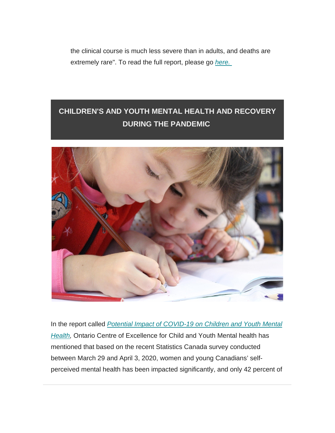the clinical course is much less severe than in adults, and deaths are extremely rare". To read the full report, please go *[here.](https://www.sickkids.ca/AboutSickKids/Newsroom/Past-News/2020/covid19-school-guidance.html)*

## **CHILDREN'S AND YOUTH MENTAL HEALTH AND RECOVERY DURING THE PANDEMIC**



In the report called **Potential Impact of COVID-19 on Children and Youth Mental [Health,](https://www.cymh.ca/en/projects/resources/covid-19/covid-19_pandemic_impacts_on_child_and_youth_mental_health.pdf) Ontario Centre of Excellence for Child and Youth Mental health has** mentioned that based on the recent Statistics Canada survey conducted between March 29 and April 3, 2020, women and young Canadians' selfperceived mental health has been impacted significantly, and only 42 percent of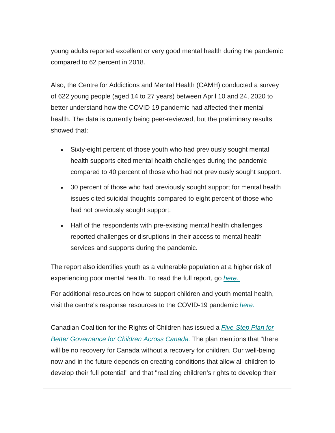young adults reported excellent or very good mental health during the pandemic compared to 62 percent in 2018.

Also, the Centre for Addictions and Mental Health (CAMH) conducted a survey of 622 young people (aged 14 to 27 years) between April 10 and 24, 2020 to better understand how the COVID-19 pandemic had affected their mental health. The data is currently being peer-reviewed, but the preliminary results showed that:

- Sixty-eight percent of those youth who had previously sought mental health supports cited mental health challenges during the pandemic compared to 40 percent of those who had not previously sought support.
- 30 percent of those who had previously sought support for mental health issues cited suicidal thoughts compared to eight percent of those who had not previously sought support.
- Half of the respondents with pre-existing mental health challenges reported challenges or disruptions in their access to mental health services and supports during the pandemic.

The report also identifies youth as a vulnerable population at a higher risk of experiencing poor mental health. To read the full report, go *[here.](https://www.cymh.ca/en/projects/resources/covid-19/covid-19_pandemic_impacts_on_child_and_youth_mental_health.pdf)*

For additional resources on how to support children and youth mental health, visit the centre's response resources to the COVID-19 pandemic *[here.](https://www.cymh.ca/en/projects/covid-19.aspx)*

Canadian Coalition for the Rights of Children has issued a *[Five-Step Plan for](http://rightsofchildren.ca/wp-content/uploads/2020/09/Children-Lead-Recovery-Throne-Speech-2020-1.pdf)  [Better Governance for Children Across Canada.](http://rightsofchildren.ca/wp-content/uploads/2020/09/Children-Lead-Recovery-Throne-Speech-2020-1.pdf)* The plan mentions that "there will be no recovery for Canada without a recovery for children. Our well-being now and in the future depends on creating conditions that allow all children to develop their full potential" and that "realizing children's rights to develop their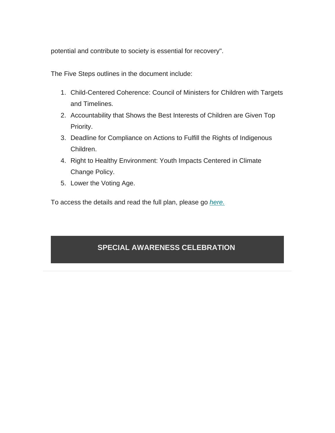potential and contribute to society is essential for recovery".

The Five Steps outlines in the document include:

- 1. Child-Centered Coherence: Council of Ministers for Children with Targets and Timelines.
- 2. Accountability that Shows the Best Interests of Children are Given Top Priority.
- 3. Deadline for Compliance on Actions to Fulfill the Rights of Indigenous Children.
- 4. Right to Healthy Environment: Youth Impacts Centered in Climate Change Policy.
- 5. Lower the Voting Age.

To access the details and read the full plan, please go *[here.](http://rightsofchildren.ca/wp-content/uploads/2020/09/Children-Lead-Recovery-Throne-Speech-2020-1.pdf)*

## **SPECIAL AWARENESS CELEBRATION**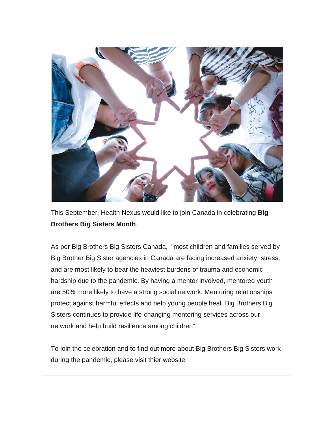

This September, Health Nexus would like to join Canada in celebrating **Big Brothers Big Sisters Month**.

As per Big Brothers Big Sisters Canada, "most children and families served by Big Brother Big Sister agencies in Canada are facing increased anxiety, stress, and are most likely to bear the heaviest burdens of trauma and economic hardship due to the pandemic. By having a mentor involved, mentored youth are 50% more likely to have a strong social network. Mentoring relationships protect against harmful effects and help young people heal. Big Brothers Big Sisters continues to provide life-changing mentoring services across our network and help build resilience among children".

To join the celebration and to find out more about Big Brothers Big Sisters work during the pandemic, please visit thier website